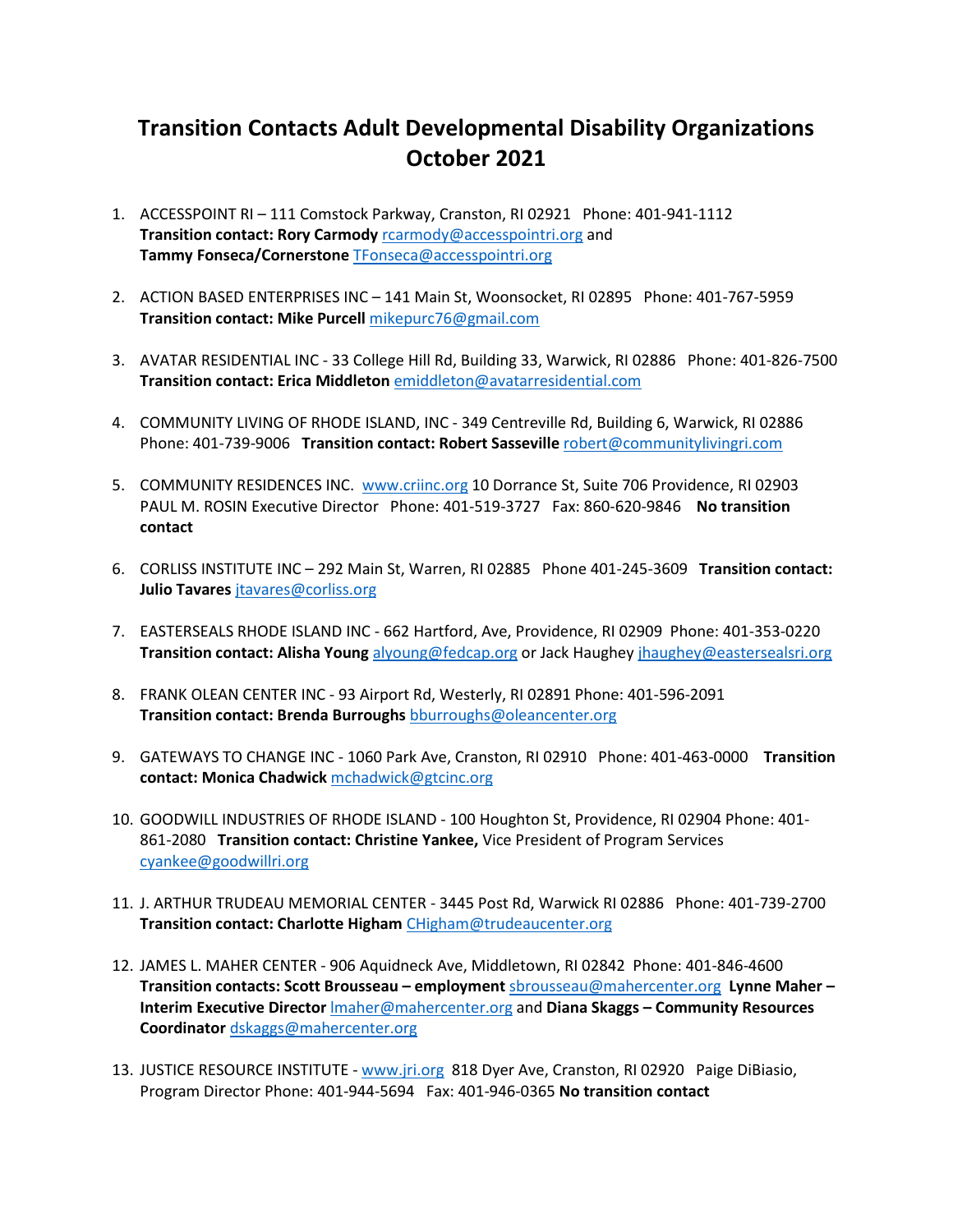## **Transition Contacts Adult Developmental Disability Organizations October 2021**

- 1. ACCESSPOINT RI 111 Comstock Parkway, Cranston, RI 02921 Phone: 401-941-1112 **Transition contact: Rory Carmody** rearmody@accesspointri.org and **Tammy Fonseca/Cornerstone** [TFonseca@accesspointri.org](mailto:TFonseca@accesspointri.org)
- 2. ACTION BASED ENTERPRISES INC 141 Main St, Woonsocket, RI 02895 Phone: 401-767-5959 **Transition contact: Mike Purcell** [mikepurc76@gmail.com](mailto:mikepurc76@gmail.com)
- 3. AVATAR RESIDENTIAL INC 33 College Hill Rd, Building 33, Warwick, RI 02886 Phone: 401-826-7500 **Transition contact: Erica Middleton** [emiddleton@avatarresidential.com](mailto:emiddleton@avatarresidential.com)
- 4. COMMUNITY LIVING OF RHODE ISLAND, INC 349 Centreville Rd, Building 6, Warwick, RI 02886 Phone: 401-739-9006 **Transition contact: Robert Sasseville** [robert@communitylivingri.com](mailto:robert@communitylivingri.com)
- 5. COMMUNITY RESIDENCES INC. [www.criinc.org](http://www.criinc.org/) 10 Dorrance St, Suite 706 Providence, RI 02903 PAUL M. ROSIN Executive Director Phone: 401-519-3727 Fax: 860-620-9846 **No transition contact**
- 6. CORLISS INSTITUTE INC 292 Main St, Warren, RI 02885 Phone 401-245-3609 **Transition contact: Julio Tavares [jtavares@corliss.org](mailto:jtavares@corliss.org)**
- 7. EASTERSEALS RHODE ISLAND INC 662 Hartford, Ave, Providence, RI 02909 Phone: 401-353-0220 **Transition contact: Alisha Young** [alyoung@fedcap.org](mailto:alyoung@fedcap.org) or Jack Haughey [jhaughey@eastersealsri.org](mailto:jhaughey@eastersealsri.org)
- 8. FRANK OLEAN CENTER INC 93 Airport Rd, Westerly, RI 02891 Phone: 401-596-2091 **Transition contact: Brenda Burroughs** [bburroughs@oleancenter.org](mailto:bburroughs@oleancenter.org)
- 9. GATEWAYS TO CHANGE INC 1060 Park Ave, Cranston, RI 02910 Phone: 401-463-0000 **Transition contact: Monica Chadwick** [mchadwick@gtcinc.org](mailto:mchadwick@gtcinc.org)
- 10. GOODWILL INDUSTRIES OF RHODE ISLAND 100 Houghton St, Providence, RI 02904 Phone: 401- 861-2080 **Transition contact: Christine Yankee,** Vice President of Program Services [cyankee@goodwillri.org](mailto:cyankee@goodwillri.org)
- 11. J. ARTHUR TRUDEAU MEMORIAL CENTER 3445 Post Rd, Warwick RI 02886 Phone: 401-739-2700 **Transition contact: Charlotte Higham** [CHigham@trudeaucenter.org](mailto:CHigham@trudeaucenter.org)
- 12. JAMES L. MAHER CENTER 906 Aquidneck Ave, Middletown, RI 02842 Phone: 401-846-4600 **Transition contacts: Scott Brousseau – employment** [sbrousseau@mahercenter.org](mailto:sbrousseau@mahercenter.org) **Lynne Maher – Interim Executive Director** [lmaher@mahercenter.org](mailto:lmaher@mahercenter.org) and **Diana Skaggs – Community Resources Coordinator** [dskaggs@mahercenter.org](mailto:dskaggs@mahercenter.org)
- 13. JUSTICE RESOURCE INSTITUTE [www.jri.org](http://www.jri.org/) 818 Dyer Ave, Cranston, RI 02920 Paige DiBiasio, Program Director Phone: 401-944-5694 Fax: 401-946-0365 **No transition contact**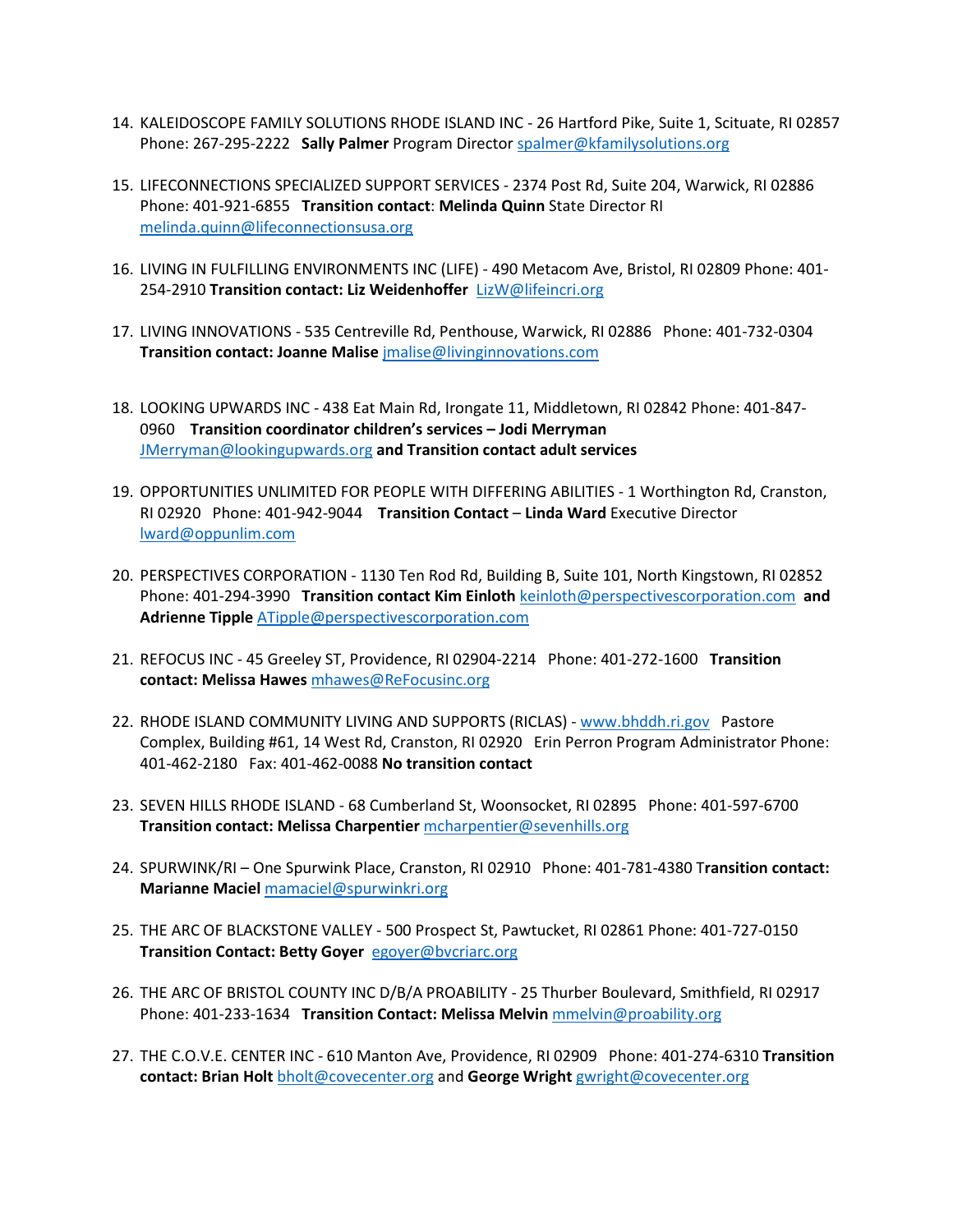- 14. KALEIDOSCOPE FAMILY SOLUTIONS RHODE ISLAND INC 26 Hartford Pike, Suite 1, Scituate, RI 02857 Phone: 267-295-2222 **Sally Palmer** Program Director [spalmer@kfamilysolutions.org](mailto:spalmer@kfamilysolutions.org)
- 15. LIFECONNECTIONS SPECIALIZED SUPPORT SERVICES 2374 Post Rd, Suite 204, Warwick, RI 02886 Phone: 401-921-6855 **Transition contact**: **Melinda Quinn** State Director RI [melinda.quinn@lifeconnectionsusa.org](mailto:melinda.quinn@lifeconnectionsusa.org)
- 16. LIVING IN FULFILLING ENVIRONMENTS INC (LIFE) 490 Metacom Ave, Bristol, RI 02809 Phone: 401- 254-2910 **Transition contact: Liz Weidenhoffer** [LizW@lifeincri.org](mailto:LizW@lifeincri.org)
- 17. LIVING INNOVATIONS 535 Centreville Rd, Penthouse, Warwick, RI 02886 Phone: 401-732-0304 **Transition contact: Joanne Malise** [jmalise@livinginnovations.com](mailto:jmalise@livinginnovations.com)
- 18. LOOKING UPWARDS INC 438 Eat Main Rd, Irongate 11, Middletown, RI 02842 Phone: 401-847- 0960 **Transition coordinator children's services – Jodi Merryman** [JMerryman@lookingupwards.org](mailto:JMerryman@lookingupwards.org) **and Transition contact adult services**
- 19. OPPORTUNITIES UNLIMITED FOR PEOPLE WITH DIFFERING ABILITIES 1 Worthington Rd, Cranston, RI 02920 Phone: 401-942-9044 **Transition Contact** – **Linda Ward** Executive Director [lward@oppunlim.com](mailto:lward@oppunlim.com)
- 20. PERSPECTIVES CORPORATION 1130 Ten Rod Rd, Building B, Suite 101, North Kingstown, RI 02852 Phone: 401-294-3990 **Transition contact Kim Einloth** [keinloth@perspectivescorporation.com](mailto:keinloth@perspectivescorporation.com) **and Adrienne Tipple** [ATipple@perspectivescorporation.com](mailto:ATipple@perspectivescorporation.com)
- 21. REFOCUS INC 45 Greeley ST, Providence, RI 02904-2214 Phone: 401-272-1600 **Transition contact: Melissa Hawes** [mhawes@ReFocusinc.org](mailto:mhawes@ReFocusinc.org)
- 22. RHODE ISLAND COMMUNITY LIVING AND SUPPORTS (RICLAS) [www.bhddh.ri.gov](http://www.bhddh.ri.gov/) Pastore Complex, Building #61, 14 West Rd, Cranston, RI 02920 Erin Perron Program Administrator Phone: 401-462-2180 Fax: 401-462-0088 **No transition contact**
- 23. SEVEN HILLS RHODE ISLAND 68 Cumberland St, Woonsocket, RI 02895 Phone: 401-597-6700 **Transition contact: Melissa Charpentier** [mcharpentier@sevenhills.org](mailto:mcharpentier@sevenhills.org)
- 24. SPURWINK/RI One Spurwink Place, Cranston, RI 02910 Phone: 401-781-4380 T**ransition contact: Marianne Maciel** [mamaciel@spurwinkri.org](mailto:mamaciel@spurwinkri.org)
- 25. THE ARC OF BLACKSTONE VALLEY 500 Prospect St, Pawtucket, RI 02861 Phone: 401-727-0150 **Transition Contact: Betty Goyer** [egoyer@bvcriarc.org](mailto:egoyer@bvcriarc.org)
- 26. THE ARC OF BRISTOL COUNTY INC D/B/A PROABILITY 25 Thurber Boulevard, Smithfield, RI 02917 Phone: 401-233-1634 **Transition Contact: Melissa Melvin** [mmelvin@proability.org](mailto:mmelvin@proability.org)
- 27. THE C.O.V.E. CENTER INC 610 Manton Ave, Providence, RI 02909 Phone: 401-274-6310 **Transition contact: Brian Holt** [bholt@covecenter.org](mailto:bholt@covecenter.org) and **George Wright** [gwright@covecenter.org](mailto:gwright@covecenter.org)